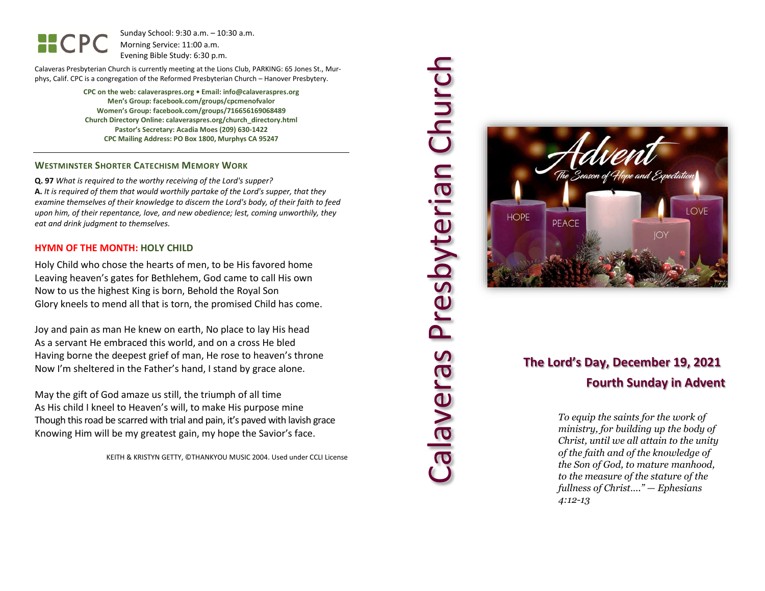HCPC

Sunday School: 9: 3 0 a.m. – 10:30 a.m. Morning Service: 1 1 :00 a.m. Evening Bible Study: 6: 30 p.m.

Calaveras Presbyterian Church is currently meeting at the Lions Club, PARKING: 65 Jones St., Murphys, Calif. CPC is a congregation of the Reformed Presbyterian Church – Hanover Presbytery.

> **CPC on the web: calaveraspres.org • Email: info@calaveraspres.org Men's Group: facebook.com/groups/cpcmenofvalor Women's Group: facebook.com/groups/716656169068489 Church Directory Online: calaveraspres.org/church \_directory.html Pastor's Secretary: Acadia Moes (209) 630 -1422 CPC Mailing Address: PO Box 1800, Murphys CA 95247**

### **WESTMINSTER SHORTER CATECHISM MEMORY WORK**

**Q . 9 7** *What is required to the worthy receiving of the Lord's supper?* **A.** *It is required of them that would worthily partake of the Lord's supper, that they examine themselves of their knowledge to discern the Lord's body, of their faith to feed upon him, of their repentance, love, and new obedience; lest, coming unworthily, they eat and drink judgment to themselves .*

#### **HYMN OF THE MONTH: HOLY CHILD**

Holy Child who chose the hearts of men, to be His favored home Leaving heaven's gates for Bethlehem, God came to call His own Now to us the highest King is born, Behold the Royal Son Glory kneels to mend all that is torn, the promised Child has come.

Joy and pain as man He knew on earth, No place to lay His head As a servant He embraced this world, and on a cross He bled Having borne the deepest grief of man, He rose to heaven's throne Now I'm sheltered in the Father's hand, I stand by grace alone.

May the gift of God amaze us still, the triumph of all time As His child I kneel to Heaven's will, to make His purpose mine Though this road be scarred with trial and pain, it's paved with lavish grace Knowing Him will be my greatest gain, my hope the Savior's face.

KEITH & KRISTYN GETTY, ©THANKYOU MUSIC 2004. Used under CCLI License





### **The Lord's Day, December 1 9, 2021 Fourth Sunday in Advent**

*To equip the saints for the work of ministry, for building up the body of Christ, until we all attain to the unity of the faith and of the knowledge of the Son of God, to mature manhood, to the measure of the stature of the fullness of Christ…." — Ephesians 4:12 -13*